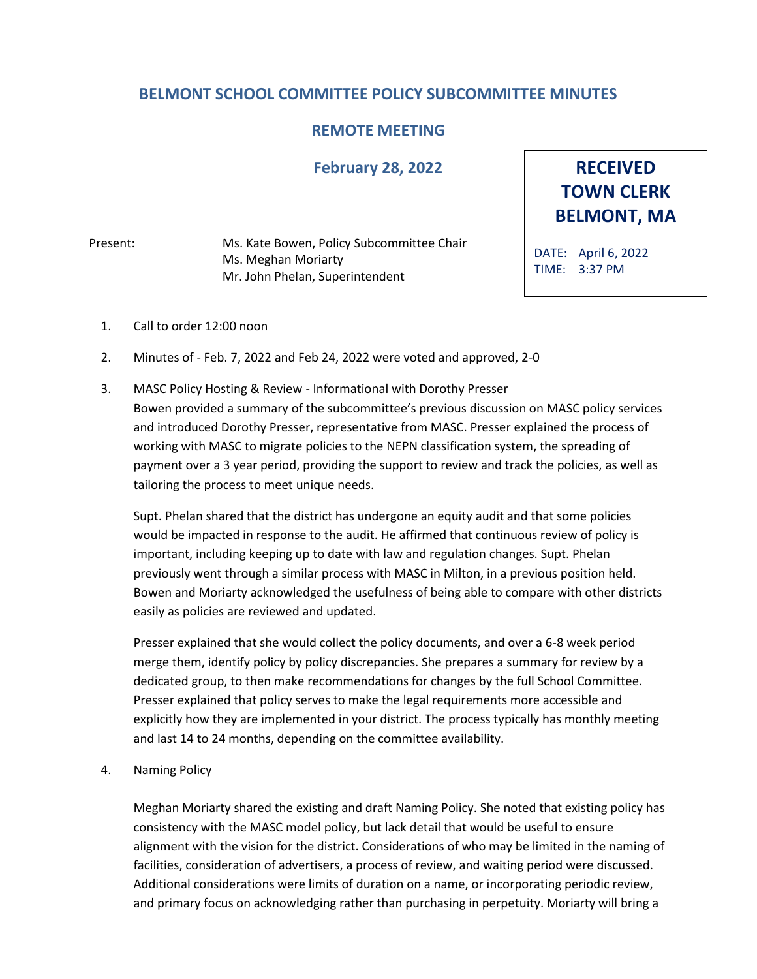## **BELMONT SCHOOL COMMITTEE POLICY SUBCOMMITTEE MINUTES**

## **REMOTE MEETING**

## **February 28, 2022**

Present: Ms. Kate Bowen, Policy Subcommittee Chair Ms. Meghan Moriarty Mr. John Phelan, Superintendent

**RECEIVED TOWN CLERK BELMONT, MA**

DATE: April 6, 2022 TIME: 3:37 PM

- 1. Call to order 12:00 noon
- 2. Minutes of Feb. 7, 2022 and Feb 24, 2022 were voted and approved, 2-0
- 3. MASC Policy Hosting & Review Informational with Dorothy Presser Bowen provided a summary of the subcommittee's previous discussion on MASC policy services and introduced Dorothy Presser, representative from MASC. Presser explained the process of working with MASC to migrate policies to the NEPN classification system, the spreading of payment over a 3 year period, providing the support to review and track the policies, as well as tailoring the process to meet unique needs.

Supt. Phelan shared that the district has undergone an equity audit and that some policies would be impacted in response to the audit. He affirmed that continuous review of policy is important, including keeping up to date with law and regulation changes. Supt. Phelan previously went through a similar process with MASC in Milton, in a previous position held. Bowen and Moriarty acknowledged the usefulness of being able to compare with other districts easily as policies are reviewed and updated.

Presser explained that she would collect the policy documents, and over a 6-8 week period merge them, identify policy by policy discrepancies. She prepares a summary for review by a dedicated group, to then make recommendations for changes by the full School Committee. Presser explained that policy serves to make the legal requirements more accessible and explicitly how they are implemented in your district. The process typically has monthly meeting and last 14 to 24 months, depending on the committee availability.

4. Naming Policy

Meghan Moriarty shared the existing and draft Naming Policy. She noted that existing policy has consistency with the MASC model policy, but lack detail that would be useful to ensure alignment with the vision for the district. Considerations of who may be limited in the naming of facilities, consideration of advertisers, a process of review, and waiting period were discussed. Additional considerations were limits of duration on a name, or incorporating periodic review, and primary focus on acknowledging rather than purchasing in perpetuity. Moriarty will bring a